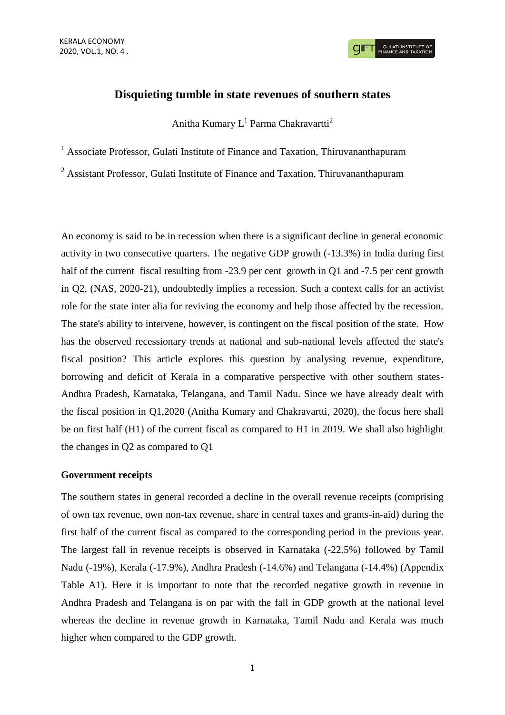**GULATI INSTITUTE O**<br>FINANCE AND TAXATIO

# **Disquieting tumble in state revenues of southern states**

Anitha Kumary  $L^1$  Parma Chakravartti<sup>2</sup>

<sup>1</sup> Associate Professor, Gulati Institute of Finance and Taxation, Thiruvananthapuram

<sup>2</sup> Assistant Professor, Gulati Institute of Finance and Taxation, Thiruvananthapuram

An economy is said to be in recession when there is a significant decline in general economic activity in two consecutive quarters. The negative GDP growth (-13.3%) in India during first half of the current fiscal resulting from -23.9 per cent growth in Q1 and -7.5 per cent growth in Q2, (NAS, 2020-21), undoubtedly implies a recession. Such a context calls for an activist role for the state inter alia for reviving the economy and help those affected by the recession. The state's ability to intervene, however, is contingent on the fiscal position of the state. How has the observed recessionary trends at national and sub-national levels affected the state's fiscal position? This article explores this question by analysing revenue, expenditure, borrowing and deficit of Kerala in a comparative perspective with other southern states-Andhra Pradesh, Karnataka, Telangana, and Tamil Nadu. Since we have already dealt with the fiscal position in Q1,2020 (Anitha Kumary and Chakravartti, 2020), the focus here shall be on first half (H1) of the current fiscal as compared to H1 in 2019. We shall also highlight the changes in Q2 as compared to Q1

### **Government receipts**

The southern states in general recorded a decline in the overall revenue receipts (comprising of own tax revenue, own non-tax revenue, share in central taxes and grants-in-aid) during the first half of the current fiscal as compared to the corresponding period in the previous year. The largest fall in revenue receipts is observed in Karnataka (-22.5%) followed by Tamil Nadu (-19%), Kerala (-17.9%), Andhra Pradesh (-14.6%) and Telangana (-14.4%) (Appendix Table A1). Here it is important to note that the recorded negative growth in revenue in Andhra Pradesh and Telangana is on par with the fall in GDP growth at the national level whereas the decline in revenue growth in Karnataka, Tamil Nadu and Kerala was much higher when compared to the GDP growth.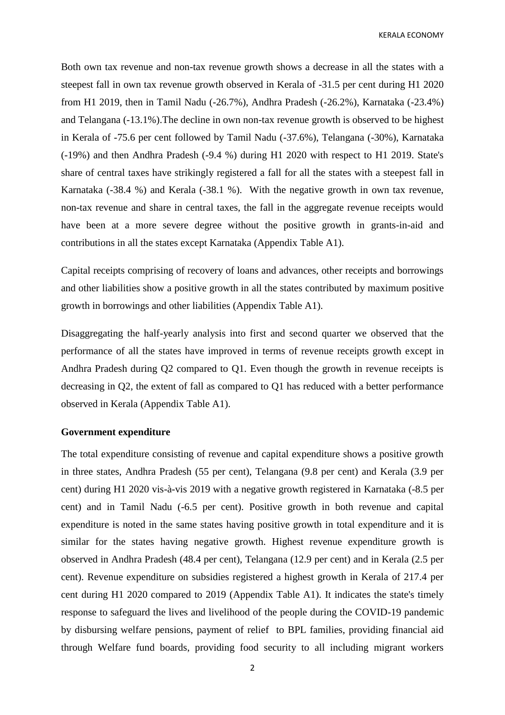KERALA ECONOMY

Both own tax revenue and non-tax revenue growth shows a decrease in all the states with a steepest fall in own tax revenue growth observed in Kerala of -31.5 per cent during H1 2020 from H1 2019, then in Tamil Nadu (-26.7%), Andhra Pradesh (-26.2%), Karnataka (-23.4%) and Telangana (-13.1%).The decline in own non-tax revenue growth is observed to be highest in Kerala of -75.6 per cent followed by Tamil Nadu (-37.6%), Telangana (-30%), Karnataka (-19%) and then Andhra Pradesh (-9.4 %) during H1 2020 with respect to H1 2019. State's share of central taxes have strikingly registered a fall for all the states with a steepest fall in Karnataka (-38.4 %) and Kerala (-38.1 %). With the negative growth in own tax revenue, non-tax revenue and share in central taxes, the fall in the aggregate revenue receipts would have been at a more severe degree without the positive growth in grants-in-aid and contributions in all the states except Karnataka (Appendix Table A1).

Capital receipts comprising of recovery of loans and advances, other receipts and borrowings and other liabilities show a positive growth in all the states contributed by maximum positive growth in borrowings and other liabilities (Appendix Table A1).

Disaggregating the half-yearly analysis into first and second quarter we observed that the performance of all the states have improved in terms of revenue receipts growth except in Andhra Pradesh during Q2 compared to Q1. Even though the growth in revenue receipts is decreasing in Q2, the extent of fall as compared to Q1 has reduced with a better performance observed in Kerala (Appendix Table A1).

# **Government expenditure**

The total expenditure consisting of revenue and capital expenditure shows a positive growth in three states, Andhra Pradesh (55 per cent), Telangana (9.8 per cent) and Kerala (3.9 per cent) during H1 2020 vis-à-vis 2019 with a negative growth registered in Karnataka (-8.5 per cent) and in Tamil Nadu (-6.5 per cent). Positive growth in both revenue and capital expenditure is noted in the same states having positive growth in total expenditure and it is similar for the states having negative growth. Highest revenue expenditure growth is observed in Andhra Pradesh (48.4 per cent), Telangana (12.9 per cent) and in Kerala (2.5 per cent). Revenue expenditure on subsidies registered a highest growth in Kerala of 217.4 per cent during H1 2020 compared to 2019 (Appendix Table A1). It indicates the state's timely response to safeguard the lives and livelihood of the people during the COVID-19 pandemic by disbursing welfare pensions, payment of relief to BPL families, providing financial aid through Welfare fund boards, providing food security to all including migrant workers

2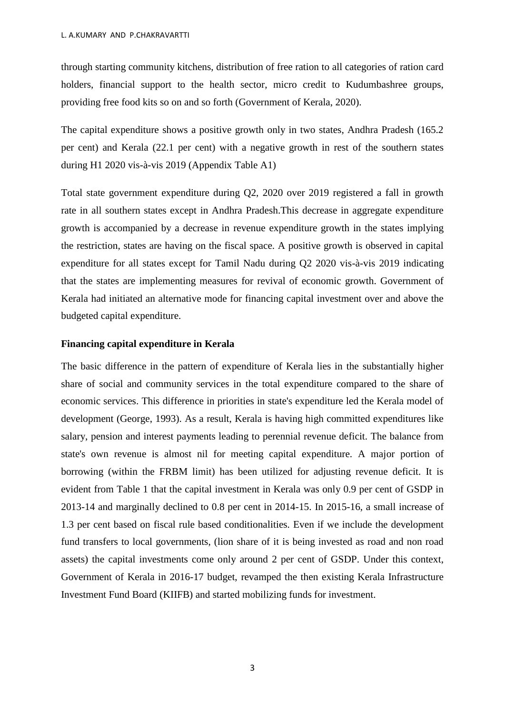through starting community kitchens, distribution of free ration to all categories of ration card holders, financial support to the health sector, micro credit to Kudumbashree groups, providing free food kits so on and so forth (Government of Kerala, 2020).

The capital expenditure shows a positive growth only in two states, Andhra Pradesh (165.2 per cent) and Kerala (22.1 per cent) with a negative growth in rest of the southern states during H1 2020 vis-à-vis 2019 (Appendix Table A1)

Total state government expenditure during Q2, 2020 over 2019 registered a fall in growth rate in all southern states except in Andhra Pradesh.This decrease in aggregate expenditure growth is accompanied by a decrease in revenue expenditure growth in the states implying the restriction, states are having on the fiscal space. A positive growth is observed in capital expenditure for all states except for Tamil Nadu during Q2 2020 vis-à-vis 2019 indicating that the states are implementing measures for revival of economic growth. Government of Kerala had initiated an alternative mode for financing capital investment over and above the budgeted capital expenditure.

#### **Financing capital expenditure in Kerala**

The basic difference in the pattern of expenditure of Kerala lies in the substantially higher share of social and community services in the total expenditure compared to the share of economic services. This difference in priorities in state's expenditure led the Kerala model of development (George, 1993). As a result, Kerala is having high committed expenditures like salary, pension and interest payments leading to perennial revenue deficit. The balance from state's own revenue is almost nil for meeting capital expenditure. A major portion of borrowing (within the FRBM limit) has been utilized for adjusting revenue deficit. It is evident from Table 1 that the capital investment in Kerala was only 0.9 per cent of GSDP in 2013-14 and marginally declined to 0.8 per cent in 2014-15. In 2015-16, a small increase of 1.3 per cent based on fiscal rule based conditionalities. Even if we include the development fund transfers to local governments, (lion share of it is being invested as road and non road assets) the capital investments come only around 2 per cent of GSDP. Under this context, Government of Kerala in 2016-17 budget, revamped the then existing Kerala Infrastructure Investment Fund Board (KIIFB) and started mobilizing funds for investment.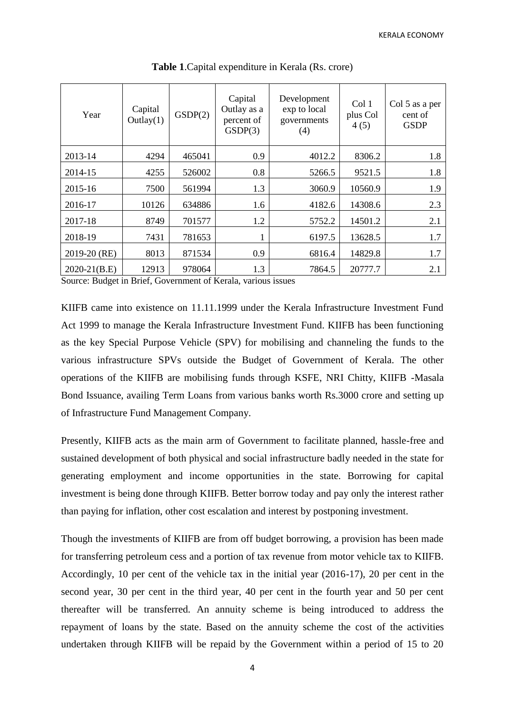| Year           | Capital<br>Outlay(1) | GSDP(2) | Capital<br>Outlay as a<br>percent of<br>GSDP(3) | Development<br>exp to local<br>governments<br>(4) | Col 1<br>plus Col<br>4(5) | Col 5 as a per<br>cent of<br><b>GSDP</b> |  |
|----------------|----------------------|---------|-------------------------------------------------|---------------------------------------------------|---------------------------|------------------------------------------|--|
| 2013-14        | 4294                 | 465041  | 0.9                                             | 4012.2                                            | 8306.2                    | 1.8                                      |  |
| 2014-15        | 4255                 | 526002  | 0.8                                             | 5266.5                                            | 9521.5                    | 1.8                                      |  |
| 2015-16        | 7500                 | 561994  | 1.3                                             | 3060.9                                            | 10560.9                   | 1.9                                      |  |
| 2016-17        | 10126                | 634886  | 1.6                                             | 4182.6                                            | 14308.6                   | 2.3                                      |  |
| 2017-18        | 8749                 | 701577  | 1.2                                             | 5752.2                                            | 14501.2                   | 2.1                                      |  |
| 2018-19        | 7431                 | 781653  |                                                 | 6197.5                                            | 13628.5                   | 1.7                                      |  |
| 2019-20 (RE)   | 8013                 | 871534  | 0.9                                             | 6816.4                                            | 14829.8                   | 1.7                                      |  |
| $2020-21(B.E)$ | 12913                | 978064  | 1.3                                             | 7864.5                                            | 20777.7                   | 2.1                                      |  |

**Table 1**.Capital expenditure in Kerala (Rs. crore)

Source: Budget in Brief, Government of Kerala, various issues

KIIFB came into existence on 11.11.1999 under the Kerala Infrastructure Investment Fund Act 1999 to manage the Kerala Infrastructure Investment Fund. KIIFB has been functioning as the key Special Purpose Vehicle (SPV) for mobilising and channeling the funds to the various infrastructure SPVs outside the Budget of Government of Kerala. The other operations of the KIIFB are mobilising funds through KSFE, NRI Chitty, KIIFB -Masala Bond Issuance, availing Term Loans from various banks worth Rs.3000 crore and setting up of Infrastructure Fund Management Company.

Presently, KIIFB acts as the main arm of Government to facilitate planned, hassle-free and sustained development of both physical and social infrastructure badly needed in the state for generating employment and income opportunities in the state. Borrowing for capital investment is being done through KIIFB. Better borrow today and pay only the interest rather than paying for inflation, other cost escalation and interest by postponing investment.

Though the investments of KIIFB are from off budget borrowing, a provision has been made for transferring petroleum cess and a portion of tax revenue from motor vehicle tax to KIIFB. Accordingly, 10 per cent of the vehicle tax in the initial year (2016-17), 20 per cent in the second year, 30 per cent in the third year, 40 per cent in the fourth year and 50 per cent thereafter will be transferred. An annuity scheme is being introduced to address the repayment of loans by the state. Based on the annuity scheme the cost of the activities undertaken through KIIFB will be repaid by the Government within a period of 15 to 20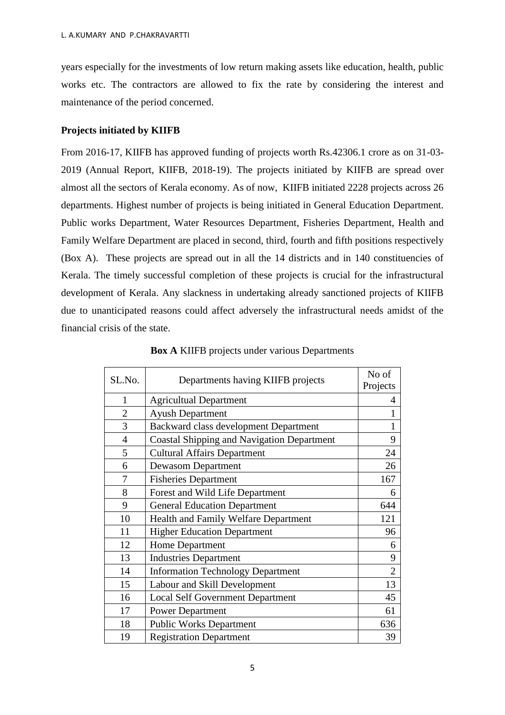years especially for the investments of low return making assets like education, health, public works etc. The contractors are allowed to fix the rate by considering the interest and maintenance of the period concerned.

# **Projects initiated by KIIFB**

From 2016-17, KIIFB has approved funding of projects worth Rs.42306.1 crore as on 31-03- 2019 (Annual Report, KIIFB, 2018-19). The projects initiated by KIIFB are spread over almost all the sectors of Kerala economy. As of now, KIIFB initiated 2228 projects across 26 departments. Highest number of projects is being initiated in General Education Department. Public works Department, Water Resources Department, Fisheries Department, Health and Family Welfare Department are placed in second, third, fourth and fifth positions respectively (Box A). These projects are spread out in all the 14 districts and in 140 constituencies of Kerala. The timely successful completion of these projects is crucial for the infrastructural development of Kerala. Any slackness in undertaking already sanctioned projects of KIIFB due to unanticipated reasons could affect adversely the infrastructural needs amidst of the financial crisis of the state.

| SL.No.         | Departments having KIIFB projects                 | No of<br>Projects |
|----------------|---------------------------------------------------|-------------------|
| $\mathbf{1}$   | <b>Agricultual Department</b>                     | 4                 |
| $\overline{2}$ | <b>Ayush Department</b>                           | 1                 |
| 3              | Backward class development Department             | 1                 |
| $\overline{4}$ | <b>Coastal Shipping and Navigation Department</b> | 9                 |
| 5              | <b>Cultural Affairs Department</b>                | 24                |
| 6              | <b>Dewasom Department</b>                         | 26                |
| 7              | <b>Fisheries Department</b>                       | 167               |
| 8              | Forest and Wild Life Department                   | 6                 |
| 9              | <b>General Education Department</b>               | 644               |
| 10             | Health and Family Welfare Department              | 121               |
| 11             | <b>Higher Education Department</b>                | 96                |
| 12             | Home Department                                   | 6                 |
| 13             | <b>Industries Department</b>                      | 9                 |
| 14             | <b>Information Technology Department</b>          | $\overline{2}$    |
| 15             | Labour and Skill Development                      | 13                |
| 16             | <b>Local Self Government Department</b>           | 45                |
| 17             | <b>Power Department</b>                           | 61                |
| 18             | <b>Public Works Department</b>                    | 636               |
| 19             | <b>Registration Department</b>                    | 39                |

**Box A** KIIFB projects under various Departments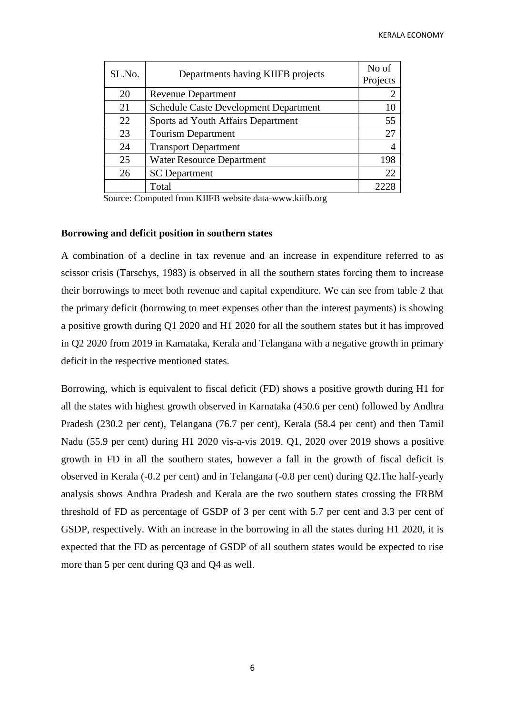| SL.No. | Departments having KIIFB projects            |                |  |  |  |  |  |
|--------|----------------------------------------------|----------------|--|--|--|--|--|
| 20     | <b>Revenue Department</b>                    | $\overline{2}$ |  |  |  |  |  |
| 21     | <b>Schedule Caste Development Department</b> | 10             |  |  |  |  |  |
| 22     | Sports ad Youth Affairs Department           | 55             |  |  |  |  |  |
| 23     | <b>Tourism Department</b>                    | 27             |  |  |  |  |  |
| 24     | <b>Transport Department</b>                  | 4              |  |  |  |  |  |
| 25     | <b>Water Resource Department</b>             | 198            |  |  |  |  |  |
| 26     | <b>SC</b> Department                         | 22             |  |  |  |  |  |
|        | Total                                        |                |  |  |  |  |  |

Source: Computed from KIIFB website data-www.kiifb.org

#### **Borrowing and deficit position in southern states**

A combination of a decline in tax revenue and an increase in expenditure referred to as scissor crisis (Tarschys, 1983) is observed in all the southern states forcing them to increase their borrowings to meet both revenue and capital expenditure. We can see from table 2 that the primary deficit (borrowing to meet expenses other than the interest payments) is showing a positive growth during Q1 2020 and H1 2020 for all the southern states but it has improved in Q2 2020 from 2019 in Karnataka, Kerala and Telangana with a negative growth in primary deficit in the respective mentioned states.

Borrowing, which is equivalent to fiscal deficit (FD) shows a positive growth during H1 for all the states with highest growth observed in Karnataka (450.6 per cent) followed by Andhra Pradesh (230.2 per cent), Telangana (76.7 per cent), Kerala (58.4 per cent) and then Tamil Nadu (55.9 per cent) during H1 2020 vis-a-vis 2019. Q1, 2020 over 2019 shows a positive growth in FD in all the southern states, however a fall in the growth of fiscal deficit is observed in Kerala (-0.2 per cent) and in Telangana (-0.8 per cent) during Q2.The half-yearly analysis shows Andhra Pradesh and Kerala are the two southern states crossing the FRBM threshold of FD as percentage of GSDP of 3 per cent with 5.7 per cent and 3.3 per cent of GSDP, respectively. With an increase in the borrowing in all the states during H1 2020, it is expected that the FD as percentage of GSDP of all southern states would be expected to rise more than 5 per cent during Q3 and Q4 as well.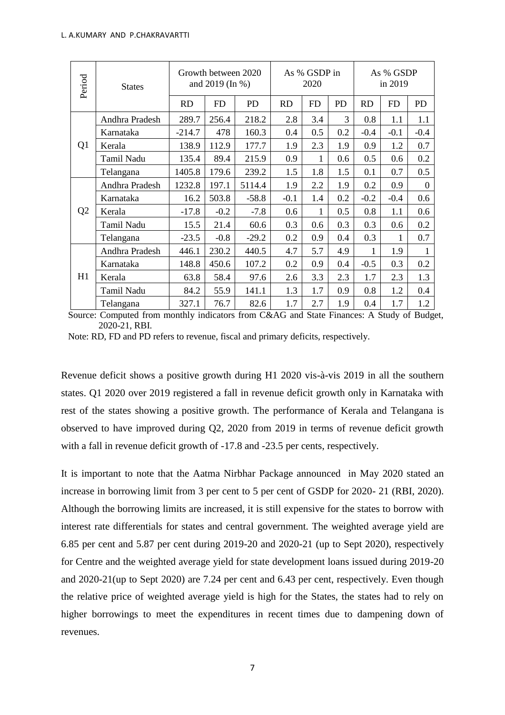| Period         | <b>States</b>  |           | Growth between 2020<br>and 2019 (In %) |           |           | As % GSDP in<br>2020 |           |           | As % GSDP<br>in 2019 |          |  |  |
|----------------|----------------|-----------|----------------------------------------|-----------|-----------|----------------------|-----------|-----------|----------------------|----------|--|--|
|                |                | <b>RD</b> | <b>FD</b>                              | <b>PD</b> | <b>RD</b> | <b>FD</b>            | <b>PD</b> | <b>RD</b> | <b>FD</b>            | PD       |  |  |
|                | Andhra Pradesh | 289.7     | 256.4                                  | 218.2     | 2.8       | 3.4                  | 3         | 0.8       | 1.1                  | 1.1      |  |  |
|                | Karnataka      | $-214.7$  | 478                                    | 160.3     | 0.4       | 0.5                  | 0.2       | $-0.4$    | $-0.1$               | $-0.4$   |  |  |
| Q1             | Kerala         | 138.9     | 112.9                                  | 177.7     | 1.9       | 2.3                  | 1.9       | 0.9       | 1.2                  | 0.7      |  |  |
|                | Tamil Nadu     | 135.4     | 89.4                                   | 215.9     | 0.9       | 1                    | 0.6       | 0.5       | 0.6                  | 0.2      |  |  |
|                | Telangana      | 1405.8    | 179.6                                  | 239.2     | 1.5       | 1.8                  | 1.5       | 0.1       | 0.7                  | 0.5      |  |  |
|                | Andhra Pradesh | 1232.8    | 197.1                                  | 5114.4    | 1.9       | 2.2                  | 1.9       | 0.2       | 0.9                  | $\Omega$ |  |  |
|                | Karnataka      | 16.2      | 503.8                                  | $-58.8$   | $-0.1$    | 1.4                  | 0.2       | $-0.2$    | $-0.4$               | 0.6      |  |  |
| Q <sub>2</sub> | Kerala         | $-17.8$   | $-0.2$                                 | $-7.8$    | 0.6       | 1                    | 0.5       | 0.8       | 1.1                  | 0.6      |  |  |
|                | Tamil Nadu     | 15.5      | 21.4                                   | 60.6      | 0.3       | 0.6                  | 0.3       | 0.3       | 0.6                  | 0.2      |  |  |
|                | Telangana      | $-23.5$   | $-0.8$                                 | $-29.2$   | 0.2       | 0.9                  | 0.4       | 0.3       | 1                    | 0.7      |  |  |
|                | Andhra Pradesh | 446.1     | 230.2                                  | 440.5     | 4.7       | 5.7                  | 4.9       | 1         | 1.9                  | 1        |  |  |
|                | Karnataka      | 148.8     | 450.6                                  | 107.2     | 0.2       | 0.9                  | 0.4       | $-0.5$    | 0.3                  | 0.2      |  |  |
| H1             | Kerala         | 63.8      | 58.4                                   | 97.6      | 2.6       | 3.3                  | 2.3       | 1.7       | 2.3                  | 1.3      |  |  |
|                | Tamil Nadu     | 84.2      | 55.9                                   | 141.1     | 1.3       | 1.7                  | 0.9       | 0.8       | 1.2                  | 0.4      |  |  |
|                | Telangana      | 327.1     | 76.7                                   | 82.6      | 1.7       | 2.7                  | 1.9       | 0.4       | 1.7                  | 1.2      |  |  |

 Source: Computed from monthly indicators from C&AG and State Finances: A Study of Budget, 2020-21, RBI.

Note: RD, FD and PD refers to revenue, fiscal and primary deficits, respectively.

Revenue deficit shows a positive growth during H1 2020 vis-à-vis 2019 in all the southern states. Q1 2020 over 2019 registered a fall in revenue deficit growth only in Karnataka with rest of the states showing a positive growth. The performance of Kerala and Telangana is observed to have improved during Q2, 2020 from 2019 in terms of revenue deficit growth with a fall in revenue deficit growth of  $-17.8$  and  $-23.5$  per cents, respectively.

It is important to note that the Aatma Nirbhar Package announced in May 2020 stated an increase in borrowing limit from 3 per cent to 5 per cent of GSDP for 2020- 21 (RBI, 2020). Although the borrowing limits are increased, it is still expensive for the states to borrow with interest rate differentials for states and central government. The weighted average yield are 6.85 per cent and 5.87 per cent during 2019-20 and 2020-21 (up to Sept 2020), respectively for Centre and the weighted average yield for state development loans issued during 2019-20 and 2020-21(up to Sept 2020) are 7.24 per cent and 6.43 per cent, respectively. Even though the relative price of weighted average yield is high for the States, the states had to rely on higher borrowings to meet the expenditures in recent times due to dampening down of revenues.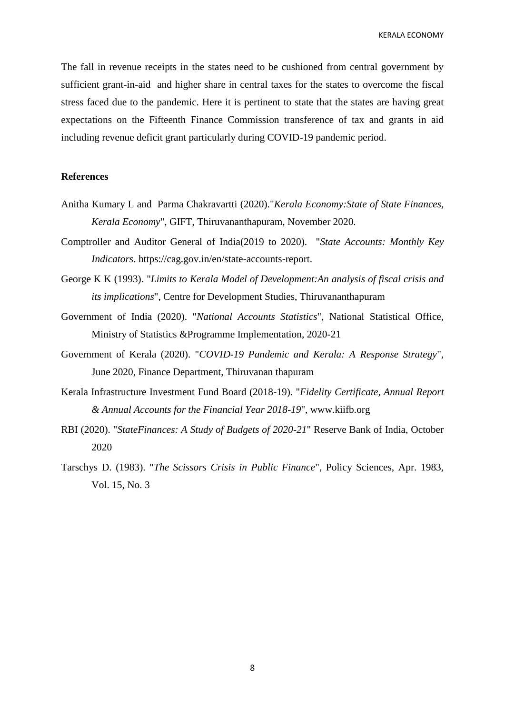KERALA ECONOMY

The fall in revenue receipts in the states need to be cushioned from central government by sufficient grant-in-aid and higher share in central taxes for the states to overcome the fiscal stress faced due to the pandemic. Here it is pertinent to state that the states are having great expectations on the Fifteenth Finance Commission transference of tax and grants in aid including revenue deficit grant particularly during COVID-19 pandemic period.

#### **References**

- Anitha Kumary L and Parma Chakravartti (2020)."*Kerala Economy:State of State Finances, Kerala Economy*", GIFT, Thiruvananthapuram, November 2020.
- Comptroller and Auditor General of India(2019 to 2020). "*State Accounts: Monthly Key Indicators*. https://cag.gov.in/en/state-accounts-report.
- George K K (1993). "*Limits to Kerala Model of Development:An analysis of fiscal crisis and its implications*", Centre for Development Studies, Thiruvananthapuram
- Government of India (2020). "*National Accounts Statistics*", National Statistical Office, Ministry of Statistics &Programme Implementation, 2020-21
- Government of Kerala (2020). "*COVID-19 Pandemic and Kerala: A Response Strategy*", June 2020, Finance Department, Thiruvanan thapuram
- Kerala Infrastructure Investment Fund Board (2018-19). "*Fidelity Certificate, Annual Report & Annual Accounts for the Financial Year 2018-19*", www.kiifb.org
- RBI (2020). "*StateFinances: A Study of Budgets of 2020-21*" Reserve Bank of India, October 2020
- Tarschys D. (1983). "*The Scissors Crisis in Public Finance*", Policy Sciences, Apr. 1983, Vol. 15, No. 3